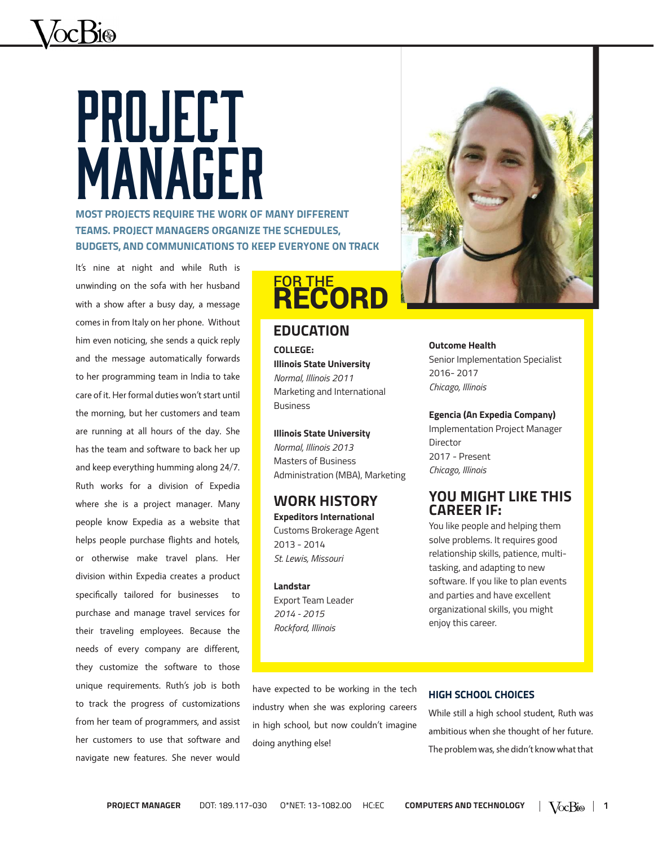# PROJECT MANAGER

**MOST PROJECTS REQUIRE THE WORK OF MANY DIFFERENT TEAMS. PROJECT MANAGERS ORGANIZE THE SCHEDULES, BUDGETS, AND COMMUNICATIONS TO KEEP EVERYONE ON TRACK**

It's nine at night and while Ruth is unwinding on the sofa with her husband with a show after a busy day, a message comes in from Italy on her phone. Without him even noticing, she sends a quick reply and the message automatically forwards to her programming team in India to take care of it. Her formal duties won't start until the morning, but her customers and team are running at all hours of the day. She has the team and software to back her up and keep everything humming along 24/7. Ruth works for a division of Expedia where she is a project manager. Many people know Expedia as a website that helps people purchase flights and hotels, or otherwise make travel plans. Her division within Expedia creates a product specifically tailored for businesses purchase and manage travel services for their traveling employees. Because the needs of every company are different, they customize the software to those unique requirements. Ruth's job is both to track the progress of customizations from her team of programmers, and assist her customers to use that software and navigate new features. She never would

# **FOR THE RECORD**

#### **EDUCATION**

**COLLEGE: Illinois State University** *Normal, Illinois 2011* Marketing and International Business

**Illinois State University** *Normal, Illinois 2013* Masters of Business Administration (MBA), Marketing

#### **WORK HISTORY Expeditors International**

Customs Brokerage Agent 2013 - 2014 *St. Lewis, Missouri*

#### **Landstar**

Export Team Leader *2014 - 2015 Rockford, Illinois*



**Outcome Health** Senior Implementation Specialist 2016- 2017 *Chicago, Illinois*

**Egencia (An Expedia Company)**  Implementation Project Manager Director 2017 - Present *Chicago, Illinois*

### **YOU MIGHT LIKE THIS CAREER IF:**

You like people and helping them solve problems. It requires good relationship skills, patience, multitasking, and adapting to new software. If you like to plan events and parties and have excellent organizational skills, you might enjoy this career.

have expected to be working in the tech industry when she was exploring careers in high school, but now couldn't imagine doing anything else!

#### **HIGH SCHOOL CHOICES**

While still a high school student, Ruth was ambitious when she thought of her future. The problem was, she didn't know what that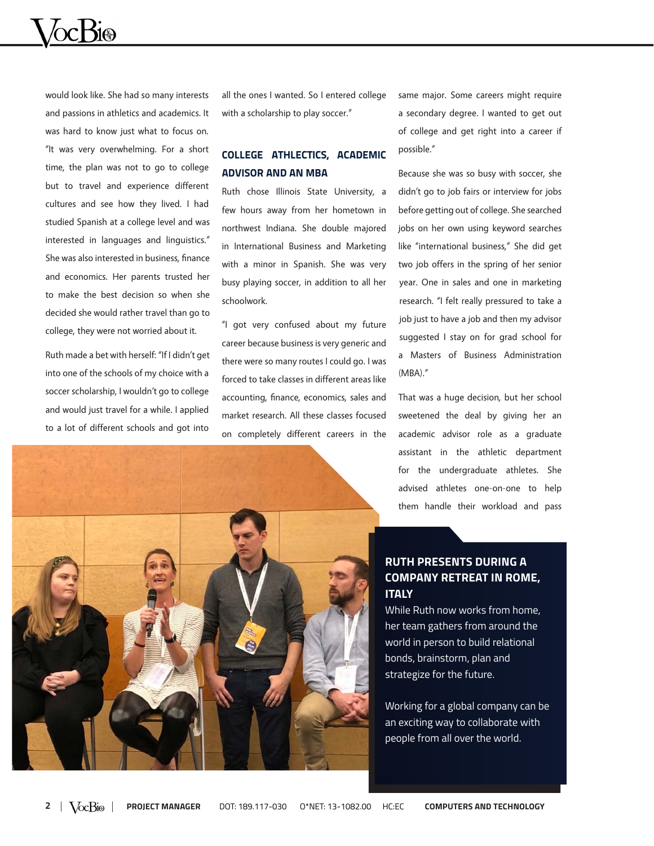would look like. She had so many interests and passions in athletics and academics. It was hard to know just what to focus on. "It was very overwhelming. For a short time, the plan was not to go to college but to travel and experience different cultures and see how they lived. I had studied Spanish at a college level and was interested in languages and linguistics." She was also interested in business, finance and economics. Her parents trusted her to make the best decision so when she decided she would rather travel than go to college, they were not worried about it.

Ruth made a bet with herself: "If I didn't get into one of the schools of my choice with a soccer scholarship, I wouldn't go to college and would just travel for a while. I applied to a lot of different schools and got into

all the ones I wanted. So I entered college with a scholarship to play soccer."

#### **COLLEGE ATHLECTICS, ACADEMIC ADVISOR AND AN MBA**

Ruth chose Illinois State University, a few hours away from her hometown in northwest Indiana. She double majored in International Business and Marketing with a minor in Spanish. She was very busy playing soccer, in addition to all her schoolwork.

"I got very confused about my future career because business is very generic and there were so many routes I could go. I was forced to take classes in different areas like accounting, finance, economics, sales and market research. All these classes focused on completely different careers in the same major. Some careers might require a secondary degree. I wanted to get out of college and get right into a career if possible."

Because she was so busy with soccer, she didn't go to job fairs or interview for jobs before getting out of college. She searched jobs on her own using keyword searches like "international business," She did get two job offers in the spring of her senior year. One in sales and one in marketing research. "I felt really pressured to take a job just to have a job and then my advisor suggested I stay on for grad school for a Masters of Business Administration (MBA)."

That was a huge decision, but her school sweetened the deal by giving her an academic advisor role as a graduate assistant in the athletic department for the undergraduate athletes. She advised athletes one-on-one to help them handle their workload and pass

#### **RUTH PRESENTS DURING A COMPANY RETREAT IN ROME, ITALY**

While Ruth now works from home, her team gathers from around the world in person to build relational bonds, brainstorm, plan and strategize for the future.

Working for a global company can be an exciting way to collaborate with people from all over the world.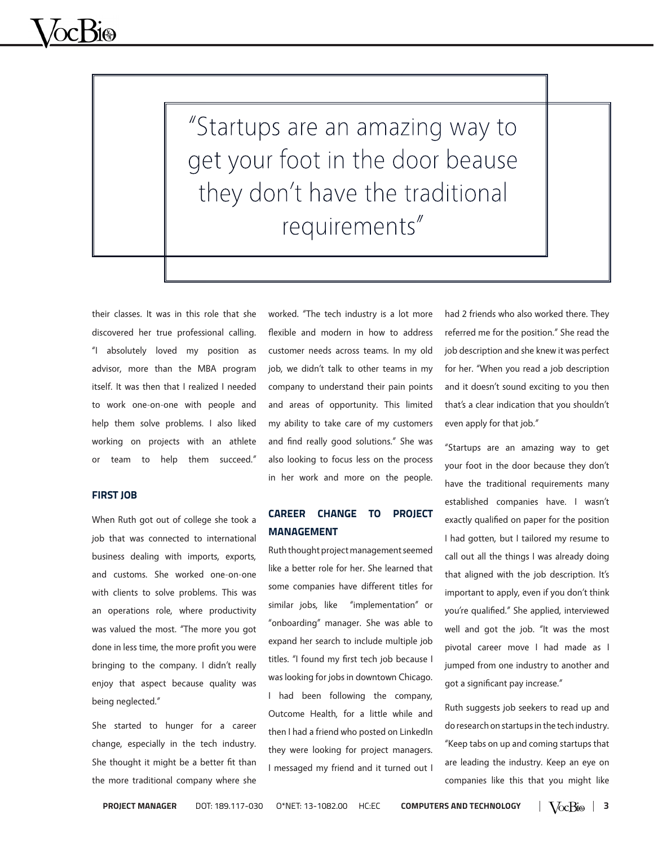"Startups are an amazing way to get your foot in the door beause they don't have the traditional requirements"

their classes. It was in this role that she discovered her true professional calling. "I absolutely loved my position as advisor, more than the MBA program itself. It was then that I realized I needed to work one-on-one with people and help them solve problems. I also liked working on projects with an athlete or team to help them succeed."

#### **FIRST JOB**

When Ruth got out of college she took a job that was connected to international business dealing with imports, exports, and customs. She worked one-on-one with clients to solve problems. This was an operations role, where productivity was valued the most. "The more you got done in less time, the more profit you were bringing to the company. I didn't really enjoy that aspect because quality was being neglected."

She started to hunger for a career change, especially in the tech industry. She thought it might be a better fit than the more traditional company where she worked. "The tech industry is a lot more flexible and modern in how to address customer needs across teams. In my old job, we didn't talk to other teams in my company to understand their pain points and areas of opportunity. This limited my ability to take care of my customers and find really good solutions." She was also looking to focus less on the process in her work and more on the people.

#### **CAREER CHANGE TO PROJECT MANAGEMENT**

Ruth thought project management seemed like a better role for her. She learned that some companies have different titles for similar jobs, like "implementation" or "onboarding" manager. She was able to expand her search to include multiple job titles. "I found my first tech job because I was looking for jobs in downtown Chicago. I had been following the company, Outcome Health, for a little while and then I had a friend who posted on LinkedIn they were looking for project managers. I messaged my friend and it turned out I

had 2 friends who also worked there. They referred me for the position." She read the job description and she knew it was perfect for her. "When you read a job description and it doesn't sound exciting to you then that's a clear indication that you shouldn't even apply for that job."

"Startups are an amazing way to get your foot in the door because they don't have the traditional requirements many established companies have. I wasn't exactly qualified on paper for the position I had gotten, but I tailored my resume to call out all the things I was already doing that aligned with the job description. It's important to apply, even if you don't think you're qualified." She applied, interviewed well and got the job. "It was the most pivotal career move I had made as I jumped from one industry to another and got a significant pay increase."

Ruth suggests job seekers to read up and do research on startups in the tech industry. "Keep tabs on up and coming startups that are leading the industry. Keep an eye on companies like this that you might like

**PROJECT MANAGER** DOT: 189.117-030 O\*NET: 13-1082.00 HC:EC **COMPUTERS AND TECHNOLOGY**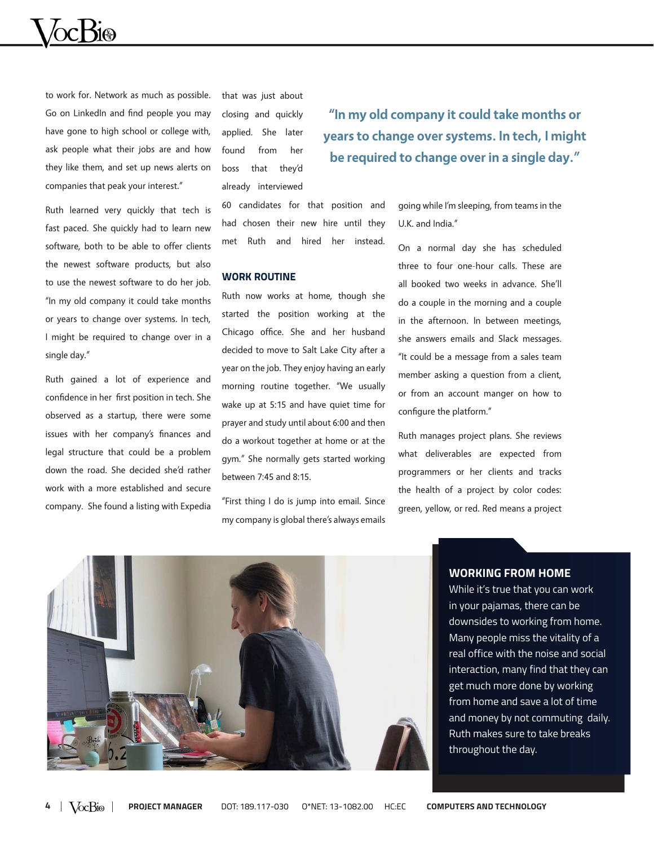

to work for. Network as much as possible. Go on LinkedIn and find people you may have gone to high school or college with, ask people what their jobs are and how they like them, and set up news alerts on companies that peak your interest."

Ruth learned very quickly that tech is fast paced. She quickly had to learn new software, both to be able to offer clients the newest software products, but also to use the newest software to do her job. "In my old company it could take months or years to change over systems. In tech, I might be required to change over in a single day."

Ruth gained a lot of experience and confidence in her first position in tech. She observed as a startup, there were some issues with her company's finances and legal structure that could be a problem down the road. She decided she'd rather work with a more established and secure company. She found a listing with Expedia that was just about closing and quickly applied. She later found from her boss that they'd already interviewed

**"In my old company it could take months or years to change over systems. In tech, I might be required to change over in a single day."**

60 candidates for that position and had chosen their new hire until they met Ruth and hired her instead.

#### **WORK ROUTINE**

Ruth now works at home, though she started the position working at the Chicago office. She and her husband decided to move to Salt Lake City after a year on the job. They enjoy having an early morning routine together. "We usually wake up at 5:15 and have quiet time for prayer and study until about 6:00 and then do a workout together at home or at the gym." She normally gets started working between 7:45 and 8:15.

"First thing I do is jump into email. Since my company is global there's always emails

going while I'm sleeping, from teams in the U.K. and India."

On a normal day she has scheduled three to four one-hour calls. These are all booked two weeks in advance. She'll do a couple in the morning and a couple in the afternoon. In between meetings, she answers emails and Slack messages. "It could be a message from a sales team member asking a question from a client, or from an account manger on how to configure the platform."

Ruth manages project plans. She reviews what deliverables are expected from programmers or her clients and tracks the health of a project by color codes: green, yellow, or red. Red means a project



#### **WORKING FROM HOME**

While it's true that you can work in your pajamas, there can be downsides to working from home. Many people miss the vitality of a real office with the noise and social interaction, many find that they can get much more done by working from home and save a lot of time and money by not commuting daily. Ruth makes sure to take breaks throughout the day.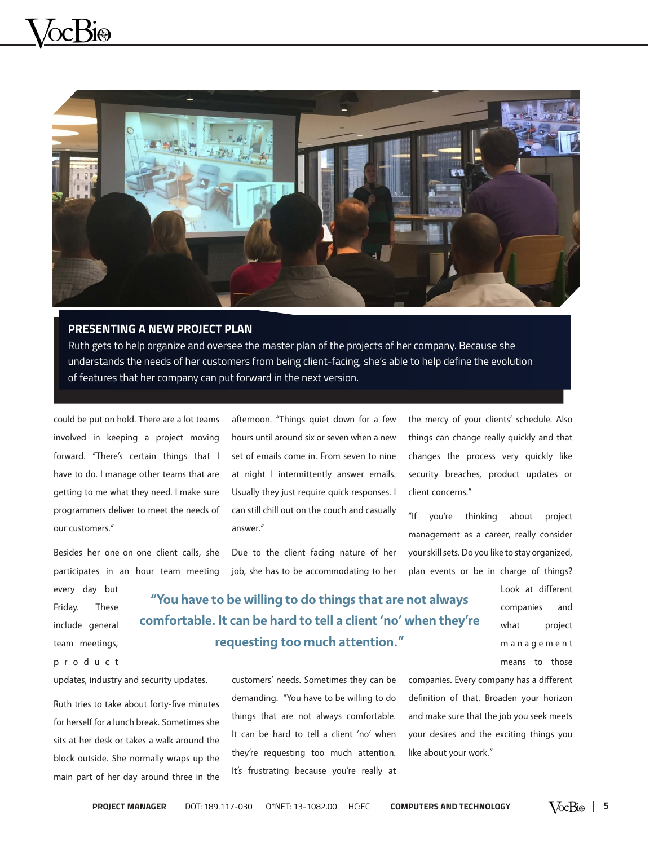

#### **PRESENTING A NEW PROJECT PLAN**

Ruth gets to help organize and oversee the master plan of the projects of her company. Because she understands the needs of her customers from being client-facing, she's able to help define the evolution of features that her company can put forward in the next version.

could be put on hold. There are a lot teams involved in keeping a project moving forward. "There's certain things that I have to do. I manage other teams that are getting to me what they need. I make sure programmers deliver to meet the needs of our customers."

Besides her one-on-one client calls, she participates in an hour team meeting

every day but Friday. These include general team meetings,

#### p r o d u c t

updates, industry and security updates.

Ruth tries to take about forty-five minutes for herself for a lunch break. Sometimes she sits at her desk or takes a walk around the block outside. She normally wraps up the main part of her day around three in the afternoon. "Things quiet down for a few hours until around six or seven when a new set of emails come in. From seven to nine at night I intermittently answer emails. Usually they just require quick responses. I can still chill out on the couch and casually answer."

Due to the client facing nature of her job, she has to be accommodating to her the mercy of your clients' schedule. Also things can change really quickly and that changes the process very quickly like security breaches, product updates or client concerns."

"If you're thinking about project management as a career, really consider your skill sets. Do you like to stay organized, plan events or be in charge of things?

**"You have to be willing to do things that are not always comfortable. It can be hard to tell a client 'no' when they're requesting too much attention."** 

> customers' needs. Sometimes they can be demanding. "You have to be willing to do things that are not always comfortable. It can be hard to tell a client 'no' when they're requesting too much attention. It's frustrating because you're really at

what project m a n a g e m e n t means to those companies. Every company has a different definition of that. Broaden your horizon and make sure that the job you seek meets

your desires and the exciting things you

like about your work."

Look at different companies and